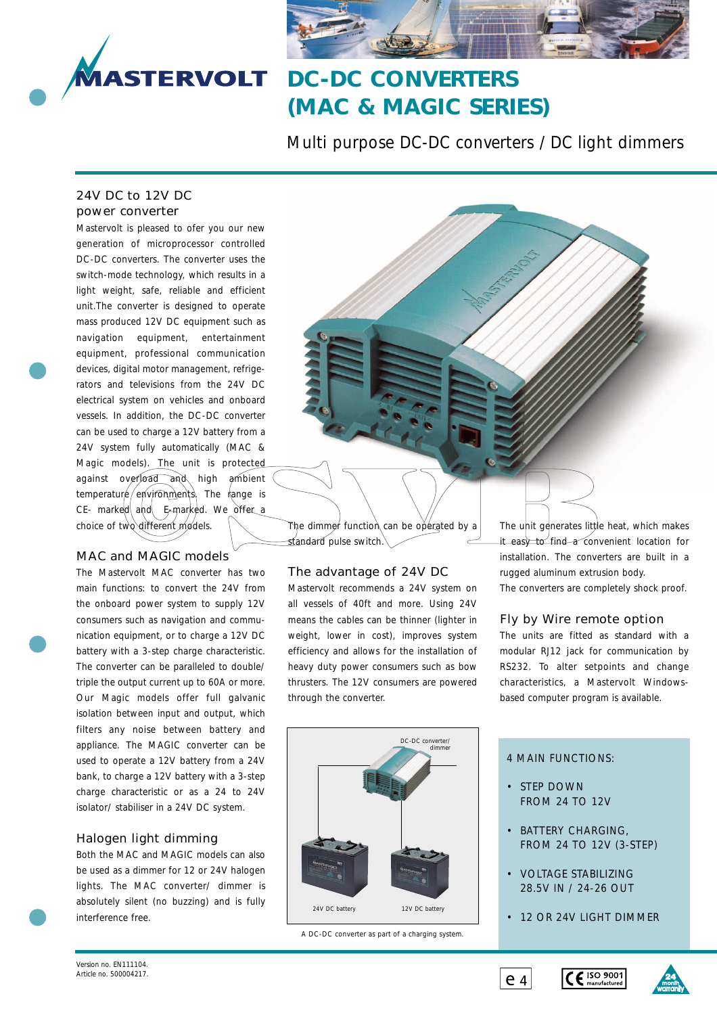

# **DC-DC CONVERTERS (MAC & MAGIC SERIES)**

Multi purpose DC-DC converters / DC light dimmers

### 24V DC to 12V DC power converter

Mastervolt is pleased to ofer you our new generation of microprocessor controlled DC-DC converters. The converter uses the switch-mode technology, which results in a light weight, safe, reliable and efficient unit.The converter is designed to operate mass produced 12V DC equipment such as navigation equipment, entertainment equipment, professional communication devices, digital motor management, refrigerators and televisions from the 24V DC electrical system on vehicles and onboard vessels. In addition, the DC-DC converter can be used to charge a 12V battery from a 24V system fully automatically (MAC & Magic models). The unit is protected against overload and high ambient  $temperatur\neq /envifomments$  The range is CE- marked and E-marked. We offer a choice of two different models.

### MAC and MAGIC models

The Mastervolt MAC converter has two main functions: to convert the 24V from the onboard power system to supply 12V consumers such as navigation and communication equipment, or to charge a 12V DC battery with a 3-step charge characteristic. The converter can be paralleled to double/ triple the output current up to 60A or more. Our Magic models offer full galvanic isolation between input and output, which filters any noise between battery and appliance. The MAGIC converter can be used to operate a 12V battery from a 24V bank, to charge a 12V battery with a 3-step charge characteristic or as a 24 to 24V isolator/ stabiliser in a 24V DC system.

### Halogen light dimming

Both the MAC and MAGIC models can also be used as a dimmer for 12 or 24V halogen lights. The MAC converter/ dimmer is absolutely silent (no buzzing) and is fully interference free.

The dimmer function can be operated by a standard pulse switch.

### The advantage of 24V DC

Mastervolt recommends a 24V system on all vessels of 40ft and more. Using 24V means the cables can be thinner (lighter in weight, lower in cost), improves system efficiency and allows for the installation of heavy duty power consumers such as bow thrusters. The 12V consumers are powered through the converter.



A DC-DC converter as part of a charging system.

The unit generates little heat, which makes it easy to find a convenient location for installation. The converters are built in a rugged aluminum extrusion body. The converters are completely shock proof.

### Fly by Wire remote option

The units are fitted as standard with a modular RJ12 jack for communication by RS232. To alter setpoints and change characteristics, a Mastervolt Windowsbased computer program is available.

### 4 MAIN FUNCTIONS:

- STEP DOWN FROM 24 TO 12V
- BATTERY CHARGING, FROM 24 TO 12V (3-STEP)
- VOLTAGE STABILIZING 28.5V IN / 24-26 OUT
- 12 OR 24V LIGHT DIMMER





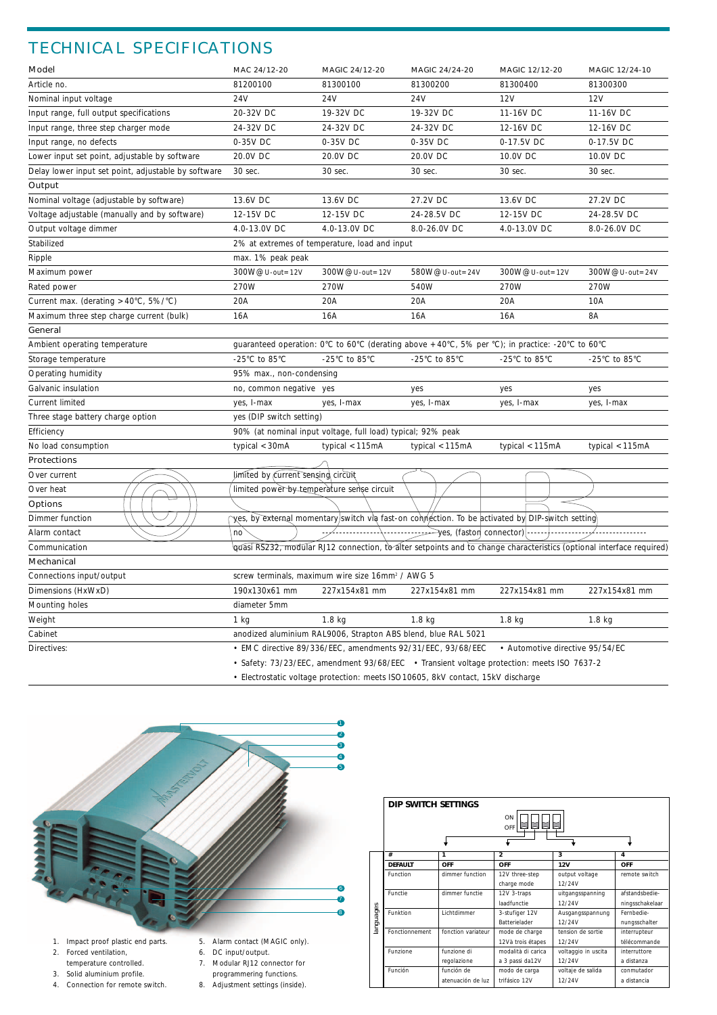## TECHNICAL SPECIFICATIONS

| Model                                                                                     | MAC 24/12-20                               | MAGIC 24/12-20                                                | MAGIC 24/24-20                                                                                                       | MAGIC 12/12-20                      | MAGIC 12/24-10    |  |
|-------------------------------------------------------------------------------------------|--------------------------------------------|---------------------------------------------------------------|----------------------------------------------------------------------------------------------------------------------|-------------------------------------|-------------------|--|
| Article no.                                                                               | 81200100                                   | 81300100                                                      | 81300200                                                                                                             | 81300400                            | 81300300          |  |
| Nominal input voltage                                                                     | 24V                                        | 24V                                                           | 24V<br>12V                                                                                                           |                                     | 12V               |  |
| Input range, full output specifications                                                   | 20-32V DC                                  | 19-32V DC                                                     | 19-32V DC                                                                                                            | 11-16V DC                           | 11-16V DC         |  |
| Input range, three step charger mode                                                      | 24-32V DC                                  | 24-32V DC                                                     | 24-32V DC                                                                                                            | 12-16V DC                           | 12-16V DC         |  |
| Input range, no defects                                                                   | 0-35V DC                                   | 0-35V DC                                                      | 0-35V DC                                                                                                             | 0-17.5V DC                          | 0-17.5V DC        |  |
| Lower input set point, adjustable by software                                             | 20.0V DC                                   | 20.0V DC                                                      | 20.0V DC                                                                                                             | 10.0V DC                            | 10.0V DC          |  |
| Delay lower input set point, adjustable by software                                       | 30 sec.<br>30 sec.                         |                                                               | 30 sec.                                                                                                              | 30 sec.                             | 30 sec.           |  |
| Output                                                                                    |                                            |                                                               |                                                                                                                      |                                     |                   |  |
| Nominal voltage (adjustable by software)                                                  | 13.6V DC                                   | 13.6V DC                                                      | 27.2V DC                                                                                                             | 13.6V DC                            | 27.2V DC          |  |
| Voltage adjustable (manually and by software)                                             | 12-15V DC                                  | 12-15V DC                                                     | 24-28.5V DC                                                                                                          | 12-15V DC                           | 24-28.5V DC       |  |
| Output voltage dimmer                                                                     | 4.0-13.0V DC                               | 4.0-13.0V DC                                                  | 8.0-26.0V DC<br>4.0-13.0V DC                                                                                         |                                     | 8.0-26.0V DC      |  |
| Stabilized                                                                                |                                            | 2% at extremes of temperature, load and input                 |                                                                                                                      |                                     |                   |  |
| Ripple                                                                                    | max. 1% peak peak                          |                                                               |                                                                                                                      |                                     |                   |  |
| Maximum power                                                                             | 300W@U-out=12V                             | 300W@U-out=12V                                                | 580W@U-out=24V                                                                                                       | 300W@U-out=12V                      | 300W@U-out=24V    |  |
| Rated power                                                                               | 270W                                       | 270W                                                          | 540W                                                                                                                 | 270W                                | 270W              |  |
| Current max. (derating >40°C, 5%/°C)                                                      | 20A                                        | 20A                                                           | 20A                                                                                                                  | 20A                                 | 10A               |  |
| Maximum three step charge current (bulk)                                                  | 16A                                        | 16A                                                           | 16A                                                                                                                  | 16A                                 | 8A                |  |
| General                                                                                   |                                            |                                                               |                                                                                                                      |                                     |                   |  |
| Ambient operating temperature                                                             |                                            |                                                               | guaranteed operation: 0°C to 60°C (derating above +40°C, 5% per °C); in practice: -20°C to 60°C                      |                                     |                   |  |
| Storage temperature                                                                       | -25°C to 85°C                              | -25°C to 85°C                                                 | -25 $^{\circ}$ C to 85 $^{\circ}$ C                                                                                  | -25 $^{\circ}$ C to 85 $^{\circ}$ C | -25°C to 85°C     |  |
| Operating humidity                                                                        | 95% max., non-condensing                   |                                                               |                                                                                                                      |                                     |                   |  |
| Galvanic insulation                                                                       | no, common negative yes                    |                                                               | yes                                                                                                                  | yes                                 | yes               |  |
| Current limited                                                                           | yes, I-max                                 | yes, I-max                                                    | yes, I-max                                                                                                           | yes, I-max                          | yes, I-max        |  |
| Three stage battery charge option                                                         | yes (DIP switch setting)                   |                                                               |                                                                                                                      |                                     |                   |  |
| Efficiency                                                                                |                                            | 90% (at nominal input voltage, full load) typical; 92% peak   |                                                                                                                      |                                     |                   |  |
| No load consumption                                                                       | typical $<$ 30mA                           | typical <115mA                                                | typical $<$ 115mA                                                                                                    | typical <115mA                      | typical $<$ 115mA |  |
| <b>Protections</b>                                                                        |                                            |                                                               |                                                                                                                      |                                     |                   |  |
| Over current                                                                              | limited by current sensing circuit         |                                                               |                                                                                                                      |                                     |                   |  |
| Over heat                                                                                 | limited power by temperature sense circuit |                                                               |                                                                                                                      |                                     |                   |  |
| <b>Options</b>                                                                            |                                            |                                                               |                                                                                                                      |                                     |                   |  |
| Dimmer function                                                                           |                                            |                                                               | yes, by external momentary/switch via fast-on connection. To be activated by DIP-switch setting                      |                                     |                   |  |
| Alarm contact                                                                             | no                                         |                                                               | ⊰ves, (faston connector)                                                                                             |                                     | .                 |  |
| Communication                                                                             |                                            |                                                               | guasi RS232, modular RJ12 connection, to alter setpoints and to change characteristics (optional interface required) |                                     |                   |  |
| Mechanical                                                                                |                                            |                                                               |                                                                                                                      |                                     |                   |  |
| Connections input/output                                                                  |                                            | screw terminals, maximum wire size 16mm <sup>2</sup> / AWG 5  |                                                                                                                      |                                     |                   |  |
| Dimensions (HxWxD)                                                                        | 190x130x61 mm                              | 227x154x81 mm                                                 | 227x154x81 mm                                                                                                        | 227x154x81 mm                       | 227x154x81 mm     |  |
| Mounting holes                                                                            | diameter 5mm                               |                                                               |                                                                                                                      |                                     |                   |  |
| Weight                                                                                    | $1$ kg                                     | $1.8$ kg                                                      | 1.8 <sub>kq</sub>                                                                                                    | 1.8 kg                              | $1.8$ kg          |  |
| Cabinet                                                                                   |                                            | anodized aluminium RAL9006, Strapton ABS blend, blue RAL 5021 |                                                                                                                      |                                     |                   |  |
| Directives:                                                                               |                                            | · EMC directive 89/336/EEC, amendments 92/31/EEC, 93/68/EEC   |                                                                                                                      | • Automotive directive 95/54/EC     |                   |  |
| • Safety: 73/23/EEC, amendment 93/68/EEC • Transient voltage protection: meets ISO 7637-2 |                                            |                                                               |                                                                                                                      |                                     |                   |  |

• Electrostatic voltage protection: meets ISO10605, 8kV contact, 15kV discharge



|           | DIP SWITCH SETTINGS    |                    |                    |                     |                 |  |  |
|-----------|------------------------|--------------------|--------------------|---------------------|-----------------|--|--|
|           | ON<br>OFF <sup>1</sup> |                    |                    |                     |                 |  |  |
|           | #                      | 1                  | $\mathfrak{p}$     | 3                   | 4               |  |  |
|           | <b>DEFAULT</b>         | OFF                | OFF                | 12V                 | OFF             |  |  |
|           | Function               | dimmer function    | 12V three-step     | output voltage      | remote switch   |  |  |
|           |                        |                    | charge mode        | 12/24V              |                 |  |  |
|           | Functie                | dimmer functie     | 12V 3-traps        | uitgangsspanning    | afstandsbedie-  |  |  |
|           |                        |                    | laadfunctie        | 12/24V              | ningsschakelaar |  |  |
| languages | Funktion               | Lichtdimmer        | 3-stufiger 12V     | Ausgangsspannung    | Fernbedie-      |  |  |
|           |                        |                    | Batterielader      | 12/24V              | nungsschalter   |  |  |
|           | Fonctionnement         | fonction variateur | mode de charge     | tension de sortie   | interrupteur    |  |  |
|           |                        |                    | 12Và trois étapes  | 12/24V              | télécommande    |  |  |
|           | Funzione               | funzione di        | modalità di carica | voltaggio in uscita | interruttore    |  |  |
|           |                        | regolazione        | a 3 passi da12V    | 12/24V              | a distanza      |  |  |
|           | Función                | función de         | modo de carga      | voltaje de salida   | conmutador      |  |  |
|           |                        | atenuación de luz  | trifásico 12V      | 12/24V              | a distancia     |  |  |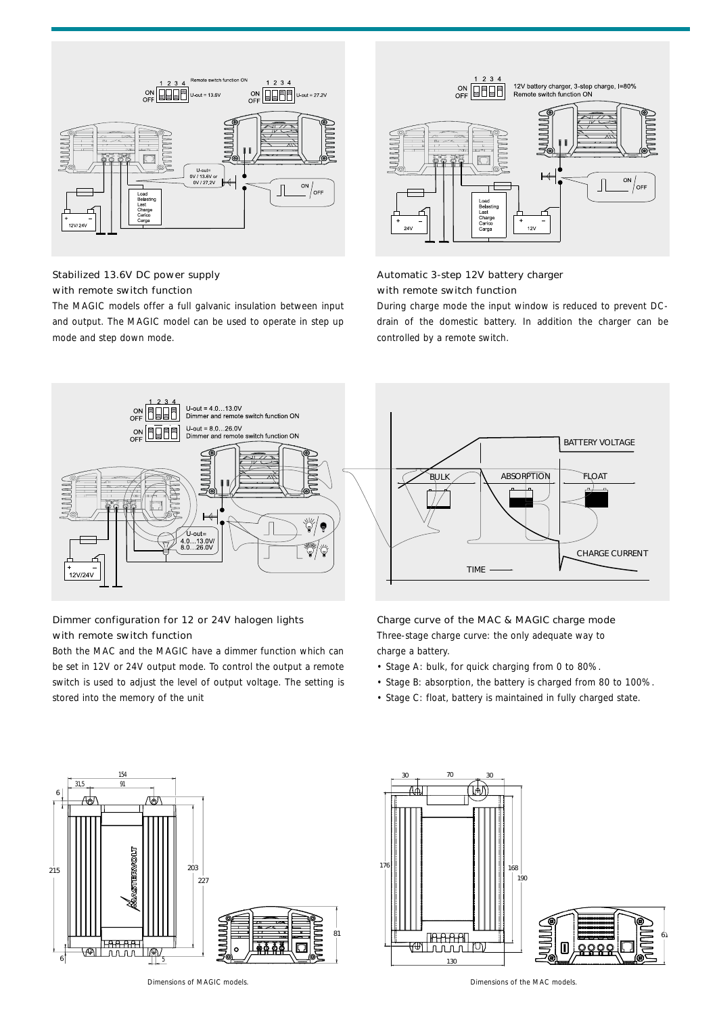

### Stabilized 13.6V DC power supply with remote switch function

The MAGIC models offer a full galvanic insulation between input and output. The MAGIC model can be used to operate in step up mode and step down mode.



### Automatic 3-step 12V battery charger with remote switch function

During charge mode the input window is reduced to prevent DCdrain of the domestic battery. In addition the charger can be controlled by a remote switch.



### Dimmer configuration for 12 or 24V halogen lights with remote switch function

Both the MAC and the MAGIC have a dimmer function which can be set in 12V or 24V output mode. To control the output a remote switch is used to adjust the level of output voltage. The setting is stored into the memory of the unit



Three-stage charge curve: the only adequate way to charge a battery.

- Stage A: bulk, for quick charging from 0 to 80%.
- Stage B: absorption, the battery is charged from 80 to 100%.
- Stage C: float, battery is maintained in fully charged state.





Dimensions of MAGIC models. Dimensions of the MAC models.